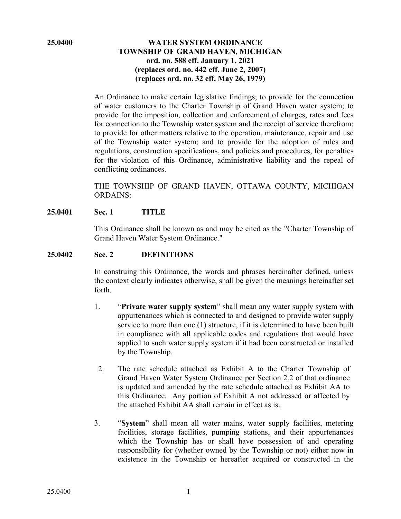### **25.0400 WATER SYSTEM ORDINANCE TOWNSHIP OF GRAND HAVEN, MICHIGAN ord. no. 588 eff. January 1, 2021 (replaces ord. no. 442 eff. June 2, 2007) (replaces ord. no. 32 eff. May 26, 1979)**

An Ordinance to make certain legislative findings; to provide for the connection of water customers to the Charter Township of Grand Haven water system; to provide for the imposition, collection and enforcement of charges, rates and fees for connection to the Township water system and the receipt of service therefrom; to provide for other matters relative to the operation, maintenance, repair and use of the Township water system; and to provide for the adoption of rules and regulations, construction specifications, and policies and procedures, for penalties for the violation of this Ordinance, administrative liability and the repeal of conflicting ordinances.

THE TOWNSHIP OF GRAND HAVEN, OTTAWA COUNTY, MICHIGAN ORDAINS:

## **25.0401 Sec. 1 TITLE**

This Ordinance shall be known as and may be cited as the "Charter Township of Grand Haven Water System Ordinance."

#### **25.0402 Sec. 2 DEFINITIONS**

In construing this Ordinance, the words and phrases hereinafter defined, unless the context clearly indicates otherwise, shall be given the meanings hereinafter set forth.

- 1. "**Private water supply system**" shall mean any water supply system with appurtenances which is connected to and designed to provide water supply service to more than one (1) structure, if it is determined to have been built in compliance with all applicable codes and regulations that would have applied to such water supply system if it had been constructed or installed by the Township.
- 2. The rate schedule attached as Exhibit A to the Charter Township of Grand Haven Water System Ordinance per Section 2.2 of that ordinance is updated and amended by the rate schedule attached as Exhibit AA to this Ordinance. Any portion of Exhibit A not addressed or affected by the attached Exhibit AA shall remain in effect as is.
- 3. "**System**" shall mean all water mains, water supply facilities, metering facilities, storage facilities, pumping stations, and their appurtenances which the Township has or shall have possession of and operating responsibility for (whether owned by the Township or not) either now in existence in the Township or hereafter acquired or constructed in the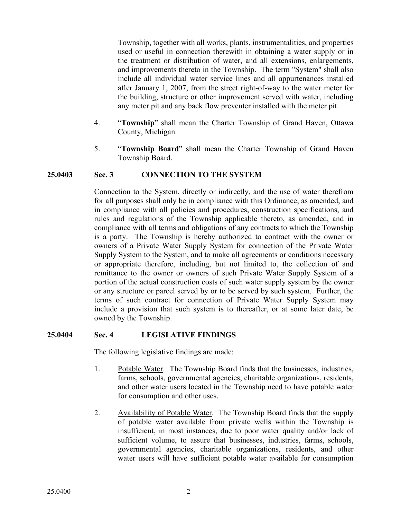Township, together with all works, plants, instrumentalities, and properties used or useful in connection therewith in obtaining a water supply or in the treatment or distribution of water, and all extensions, enlargements, and improvements thereto in the Township. The term "System" shall also include all individual water service lines and all appurtenances installed after January 1, 2007, from the street right-of-way to the water meter for the building, structure or other improvement served with water, including any meter pit and any back flow preventer installed with the meter pit.

- 4. "**Township**" shall mean the Charter Township of Grand Haven, Ottawa County, Michigan.
- 5. "**Township Board**" shall mean the Charter Township of Grand Haven Township Board.

### **25.0403 Sec. 3 CONNECTION TO THE SYSTEM**

Connection to the System, directly or indirectly, and the use of water therefrom for all purposes shall only be in compliance with this Ordinance, as amended, and in compliance with all policies and procedures, construction specifications, and rules and regulations of the Township applicable thereto, as amended, and in compliance with all terms and obligations of any contracts to which the Township is a party. The Township is hereby authorized to contract with the owner or owners of a Private Water Supply System for connection of the Private Water Supply System to the System, and to make all agreements or conditions necessary or appropriate therefore, including, but not limited to, the collection of and remittance to the owner or owners of such Private Water Supply System of a portion of the actual construction costs of such water supply system by the owner or any structure or parcel served by or to be served by such system. Further, the terms of such contract for connection of Private Water Supply System may include a provision that such system is to thereafter, or at some later date, be owned by the Township.

### **25.0404 Sec. 4 LEGISLATIVE FINDINGS**

The following legislative findings are made:

- 1. Potable Water. The Township Board finds that the businesses, industries, farms, schools, governmental agencies, charitable organizations, residents, and other water users located in the Township need to have potable water for consumption and other uses.
- 2. Availability of Potable Water. The Township Board finds that the supply of potable water available from private wells within the Township is insufficient, in most instances, due to poor water quality and/or lack of sufficient volume, to assure that businesses, industries, farms, schools, governmental agencies, charitable organizations, residents, and other water users will have sufficient potable water available for consumption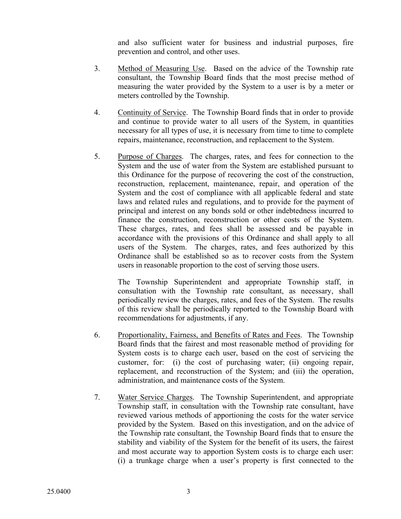and also sufficient water for business and industrial purposes, fire prevention and control, and other uses.

- 3. Method of Measuring Use. Based on the advice of the Township rate consultant, the Township Board finds that the most precise method of measuring the water provided by the System to a user is by a meter or meters controlled by the Township.
- 4. Continuity of Service. The Township Board finds that in order to provide and continue to provide water to all users of the System, in quantities necessary for all types of use, it is necessary from time to time to complete repairs, maintenance, reconstruction, and replacement to the System.
- 5. Purpose of Charges. The charges, rates, and fees for connection to the System and the use of water from the System are established pursuant to this Ordinance for the purpose of recovering the cost of the construction, reconstruction, replacement, maintenance, repair, and operation of the System and the cost of compliance with all applicable federal and state laws and related rules and regulations, and to provide for the payment of principal and interest on any bonds sold or other indebtedness incurred to finance the construction, reconstruction or other costs of the System. These charges, rates, and fees shall be assessed and be payable in accordance with the provisions of this Ordinance and shall apply to all users of the System. The charges, rates, and fees authorized by this Ordinance shall be established so as to recover costs from the System users in reasonable proportion to the cost of serving those users.

The Township Superintendent and appropriate Township staff, in consultation with the Township rate consultant, as necessary, shall periodically review the charges, rates, and fees of the System. The results of this review shall be periodically reported to the Township Board with recommendations for adjustments, if any.

- 6. Proportionality, Fairness, and Benefits of Rates and Fees. The Township Board finds that the fairest and most reasonable method of providing for System costs is to charge each user, based on the cost of servicing the customer, for: (i) the cost of purchasing water; (ii) ongoing repair, replacement, and reconstruction of the System; and (iii) the operation, administration, and maintenance costs of the System.
- 7. Water Service Charges. The Township Superintendent, and appropriate Township staff, in consultation with the Township rate consultant, have reviewed various methods of apportioning the costs for the water service provided by the System. Based on this investigation, and on the advice of the Township rate consultant, the Township Board finds that to ensure the stability and viability of the System for the benefit of its users, the fairest and most accurate way to apportion System costs is to charge each user: (i) a trunkage charge when a user's property is first connected to the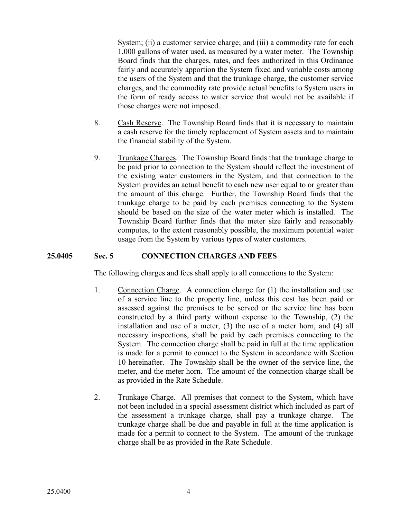System; (ii) a customer service charge; and (iii) a commodity rate for each 1,000 gallons of water used, as measured by a water meter. The Township Board finds that the charges, rates, and fees authorized in this Ordinance fairly and accurately apportion the System fixed and variable costs among the users of the System and that the trunkage charge, the customer service charges, and the commodity rate provide actual benefits to System users in the form of ready access to water service that would not be available if those charges were not imposed.

- 8. Cash Reserve. The Township Board finds that it is necessary to maintain a cash reserve for the timely replacement of System assets and to maintain the financial stability of the System.
- 9. Trunkage Charges. The Township Board finds that the trunkage charge to be paid prior to connection to the System should reflect the investment of the existing water customers in the System, and that connection to the System provides an actual benefit to each new user equal to or greater than the amount of this charge. Further, the Township Board finds that the trunkage charge to be paid by each premises connecting to the System should be based on the size of the water meter which is installed. The Township Board further finds that the meter size fairly and reasonably computes, to the extent reasonably possible, the maximum potential water usage from the System by various types of water customers.

## **25.0405 Sec. 5 CONNECTION CHARGES AND FEES**

The following charges and fees shall apply to all connections to the System:

- 1. Connection Charge. A connection charge for (1) the installation and use of a service line to the property line, unless this cost has been paid or assessed against the premises to be served or the service line has been constructed by a third party without expense to the Township, (2) the installation and use of a meter, (3) the use of a meter horn, and (4) all necessary inspections, shall be paid by each premises connecting to the System. The connection charge shall be paid in full at the time application is made for a permit to connect to the System in accordance with Section 10 hereinafter. The Township shall be the owner of the service line, the meter, and the meter horn. The amount of the connection charge shall be as provided in the Rate Schedule.
- 2. Trunkage Charge. All premises that connect to the System, which have not been included in a special assessment district which included as part of the assessment a trunkage charge, shall pay a trunkage charge. The trunkage charge shall be due and payable in full at the time application is made for a permit to connect to the System. The amount of the trunkage charge shall be as provided in the Rate Schedule.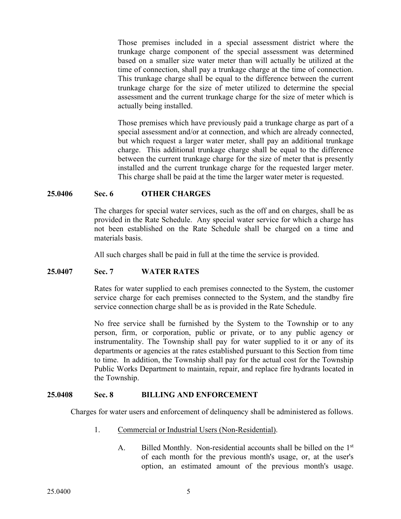Those premises included in a special assessment district where the trunkage charge component of the special assessment was determined based on a smaller size water meter than will actually be utilized at the time of connection, shall pay a trunkage charge at the time of connection. This trunkage charge shall be equal to the difference between the current trunkage charge for the size of meter utilized to determine the special assessment and the current trunkage charge for the size of meter which is actually being installed.

Those premises which have previously paid a trunkage charge as part of a special assessment and/or at connection, and which are already connected, but which request a larger water meter, shall pay an additional trunkage charge. This additional trunkage charge shall be equal to the difference between the current trunkage charge for the size of meter that is presently installed and the current trunkage charge for the requested larger meter. This charge shall be paid at the time the larger water meter is requested.

### **25.0406 Sec. 6 OTHER CHARGES**

The charges for special water services, such as the off and on charges, shall be as provided in the Rate Schedule. Any special water service for which a charge has not been established on the Rate Schedule shall be charged on a time and materials basis.

All such charges shall be paid in full at the time the service is provided.

### **25.0407 Sec. 7 WATER RATES**

Rates for water supplied to each premises connected to the System, the customer service charge for each premises connected to the System, and the standby fire service connection charge shall be as is provided in the Rate Schedule.

No free service shall be furnished by the System to the Township or to any person, firm, or corporation, public or private, or to any public agency or instrumentality. The Township shall pay for water supplied to it or any of its departments or agencies at the rates established pursuant to this Section from time to time. In addition, the Township shall pay for the actual cost for the Township Public Works Department to maintain, repair, and replace fire hydrants located in the Township.

#### **25.0408 Sec. 8 BILLING AND ENFORCEMENT**

Charges for water users and enforcement of delinquency shall be administered as follows.

- 1. Commercial or Industrial Users (Non-Residential).
	- A. Billed Monthly. Non-residential accounts shall be billed on the 1<sup>st</sup> of each month for the previous month's usage, or, at the user's option, an estimated amount of the previous month's usage.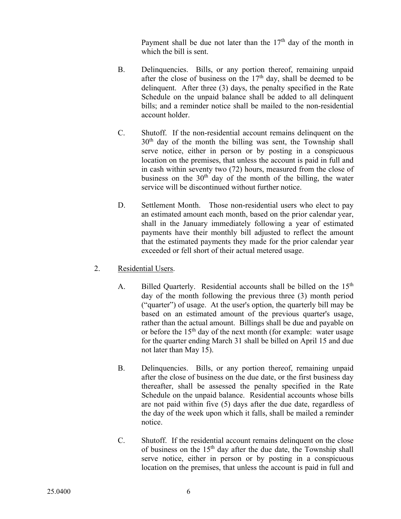Payment shall be due not later than the  $17<sup>th</sup>$  day of the month in which the bill is sent.

- B. Delinquencies. Bills, or any portion thereof, remaining unpaid after the close of business on the  $17<sup>th</sup>$  day, shall be deemed to be delinquent. After three (3) days, the penalty specified in the Rate Schedule on the unpaid balance shall be added to all delinquent bills; and a reminder notice shall be mailed to the non-residential account holder.
- C. Shutoff. If the non-residential account remains delinquent on the  $30<sup>th</sup>$  day of the month the billing was sent, the Township shall serve notice, either in person or by posting in a conspicuous location on the premises, that unless the account is paid in full and in cash within seventy two (72) hours, measured from the close of business on the  $30<sup>th</sup>$  day of the month of the billing, the water service will be discontinued without further notice.
- D. Settlement Month. Those non-residential users who elect to pay an estimated amount each month, based on the prior calendar year, shall in the January immediately following a year of estimated payments have their monthly bill adjusted to reflect the amount that the estimated payments they made for the prior calendar year exceeded or fell short of their actual metered usage.
- 2. Residential Users.
	- A. Billed Quarterly. Residential accounts shall be billed on the 15<sup>th</sup> day of the month following the previous three (3) month period ("quarter") of usage. At the user's option, the quarterly bill may be based on an estimated amount of the previous quarter's usage, rather than the actual amount. Billings shall be due and payable on or before the  $15<sup>th</sup>$  day of the next month (for example: water usage for the quarter ending March 31 shall be billed on April 15 and due not later than May 15).
	- B. Delinquencies. Bills, or any portion thereof, remaining unpaid after the close of business on the due date, or the first business day thereafter, shall be assessed the penalty specified in the Rate Schedule on the unpaid balance. Residential accounts whose bills are not paid within five (5) days after the due date, regardless of the day of the week upon which it falls, shall be mailed a reminder notice.
	- C. Shutoff. If the residential account remains delinquent on the close of business on the  $15<sup>th</sup>$  day after the due date, the Township shall serve notice, either in person or by posting in a conspicuous location on the premises, that unless the account is paid in full and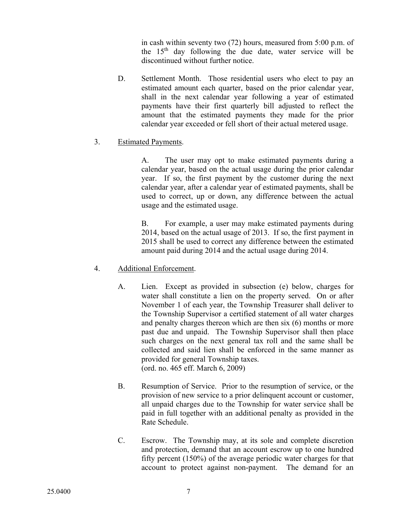in cash within seventy two (72) hours, measured from 5:00 p.m. of the  $15<sup>th</sup>$  day following the due date, water service will be discontinued without further notice.

D. Settlement Month. Those residential users who elect to pay an estimated amount each quarter, based on the prior calendar year, shall in the next calendar year following a year of estimated payments have their first quarterly bill adjusted to reflect the amount that the estimated payments they made for the prior calendar year exceeded or fell short of their actual metered usage.

## 3. Estimated Payments.

A. The user may opt to make estimated payments during a calendar year, based on the actual usage during the prior calendar year. If so, the first payment by the customer during the next calendar year, after a calendar year of estimated payments, shall be used to correct, up or down, any difference between the actual usage and the estimated usage.

B. For example, a user may make estimated payments during 2014, based on the actual usage of 2013. If so, the first payment in 2015 shall be used to correct any difference between the estimated amount paid during 2014 and the actual usage during 2014.

## 4. Additional Enforcement.

- A. Lien. Except as provided in subsection (e) below, charges for water shall constitute a lien on the property served. On or after November 1 of each year, the Township Treasurer shall deliver to the Township Supervisor a certified statement of all water charges and penalty charges thereon which are then six (6) months or more past due and unpaid. The Township Supervisor shall then place such charges on the next general tax roll and the same shall be collected and said lien shall be enforced in the same manner as provided for general Township taxes. (ord. no. 465 eff. March 6, 2009)
- B. Resumption of Service. Prior to the resumption of service, or the provision of new service to a prior delinquent account or customer, all unpaid charges due to the Township for water service shall be paid in full together with an additional penalty as provided in the Rate Schedule.
- C. Escrow. The Township may, at its sole and complete discretion and protection, demand that an account escrow up to one hundred fifty percent (150%) of the average periodic water charges for that account to protect against non-payment. The demand for an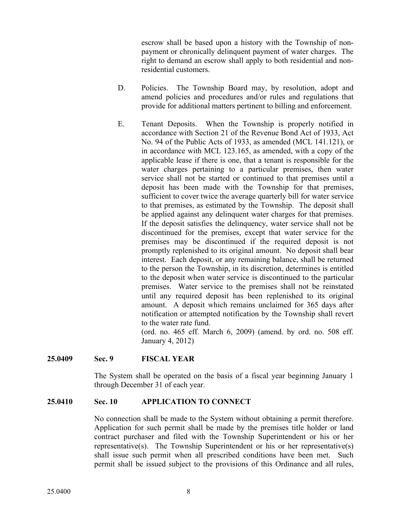escrow shall be based upon a history with the Township of nonpayment or chronically delinquent payment of water charges. The right to demand an escrow shall apply to both residential and nonresidential customers.

- D. Policies. The Township Board may, by resolution, adopt and amend policies and procedures and/or rules and regulations that provide for additional matters pertinent to billing and enforcement.
- E. Tenant Deposits. When the Township is properly notified in accordance with Section 21 of the Revenue Bond Act of 1933, Act No. 94 of the Public Acts of 1933, as amended (MCL 141.121), or in accordance with MCL 123.165, as amended, with a copy of the applicable lease if there is one, that a tenant is responsible for the water charges pertaining to a particular premises, then water service shall not be started or continued to that premises until a deposit has been made with the Township for that premises, sufficient to cover twice the average quarterly bill for water service to that premises, as estimated by the Township. The deposit shall be applied against any delinquent water charges for that premises. If the deposit satisfies the delinquency, water service shall not be discontinued for the premises, except that water service for the premises may be discontinued if the required deposit is not promptly replenished to its original amount. No deposit shall bear interest. Each deposit, or any remaining balance, shall be returned to the person the Township, in its discretion, determines is entitled to the deposit when water service is discontinued to the particular premises. Water service to the premises shall not be reinstated until any required deposit has been replenished to its original amount. A deposit which remains unclaimed for 365 days after notification or attempted notification by the Township shall revert to the water rate fund.

(ord. no. 465 eff. March 6, 2009) (amend. by ord. no. 508 eff. January 4, 2012)

### **25.0409 Sec. 9 FISCAL YEAR**

The System shall be operated on the basis of a fiscal year beginning January 1 through December 31 of each year.

#### **25.0410 Sec. 10 APPLICATION TO CONNECT**

No connection shall be made to the System without obtaining a permit therefore. Application for such permit shall be made by the premises title holder or land contract purchaser and filed with the Township Superintendent or his or her representative(s). The Township Superintendent or his or her representative(s) shall issue such permit when all prescribed conditions have been met. Such permit shall be issued subject to the provisions of this Ordinance and all rules,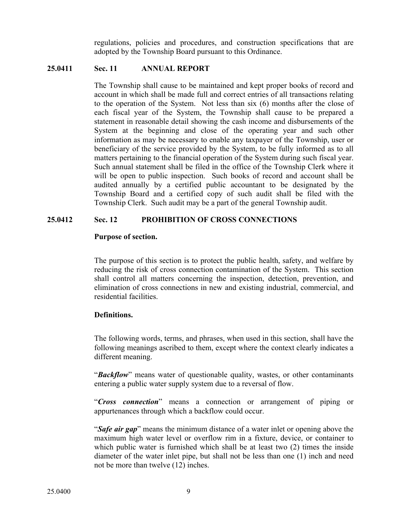regulations, policies and procedures, and construction specifications that are adopted by the Township Board pursuant to this Ordinance.

### **25.0411 Sec. 11 ANNUAL REPORT**

The Township shall cause to be maintained and kept proper books of record and account in which shall be made full and correct entries of all transactions relating to the operation of the System. Not less than six (6) months after the close of each fiscal year of the System, the Township shall cause to be prepared a statement in reasonable detail showing the cash income and disbursements of the System at the beginning and close of the operating year and such other information as may be necessary to enable any taxpayer of the Township, user or beneficiary of the service provided by the System, to be fully informed as to all matters pertaining to the financial operation of the System during such fiscal year. Such annual statement shall be filed in the office of the Township Clerk where it will be open to public inspection. Such books of record and account shall be audited annually by a certified public accountant to be designated by the Township Board and a certified copy of such audit shall be filed with the Township Clerk. Such audit may be a part of the general Township audit.

### **25.0412 Sec. 12 PROHIBITION OF CROSS CONNECTIONS**

#### **Purpose of section.**

The purpose of this section is to protect the public health, safety, and welfare by reducing the risk of cross connection contamination of the System. This section shall control all matters concerning the inspection, detection, prevention, and elimination of cross connections in new and existing industrial, commercial, and residential facilities.

### **Definitions.**

The following words, terms, and phrases, when used in this section, shall have the following meanings ascribed to them, except where the context clearly indicates a different meaning.

"*Backflow*" means water of questionable quality, wastes, or other contaminants entering a public water supply system due to a reversal of flow.

"*Cross connection*" means a connection or arrangement of piping or appurtenances through which a backflow could occur.

"*Safe air gap*" means the minimum distance of a water inlet or opening above the maximum high water level or overflow rim in a fixture, device, or container to which public water is furnished which shall be at least two (2) times the inside diameter of the water inlet pipe, but shall not be less than one (1) inch and need not be more than twelve (12) inches.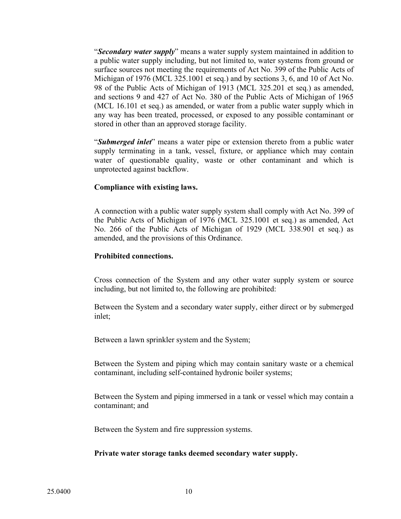"*Secondary water supply*" means a water supply system maintained in addition to a public water supply including, but not limited to, water systems from ground or surface sources not meeting the requirements of Act No. 399 of the Public Acts of Michigan of 1976 (MCL 325.1001 et seq.) and by sections 3, 6, and 10 of Act No. 98 of the Public Acts of Michigan of 1913 (MCL 325.201 et seq.) as amended, and sections 9 and 427 of Act No. 380 of the Public Acts of Michigan of 1965 (MCL 16.101 et seq.) as amended, or water from a public water supply which in any way has been treated, processed, or exposed to any possible contaminant or stored in other than an approved storage facility.

"*Submerged inlet*" means a water pipe or extension thereto from a public water supply terminating in a tank, vessel, fixture, or appliance which may contain water of questionable quality, waste or other contaminant and which is unprotected against backflow.

### **Compliance with existing laws.**

A connection with a public water supply system shall comply with Act No. 399 of the Public Acts of Michigan of 1976 (MCL 325.1001 et seq.) as amended, Act No. 266 of the Public Acts of Michigan of 1929 (MCL 338.901 et seq.) as amended, and the provisions of this Ordinance.

### **Prohibited connections.**

Cross connection of the System and any other water supply system or source including, but not limited to, the following are prohibited:

Between the System and a secondary water supply, either direct or by submerged inlet;

Between a lawn sprinkler system and the System;

Between the System and piping which may contain sanitary waste or a chemical contaminant, including self-contained hydronic boiler systems;

Between the System and piping immersed in a tank or vessel which may contain a contaminant; and

Between the System and fire suppression systems.

#### **Private water storage tanks deemed secondary water supply.**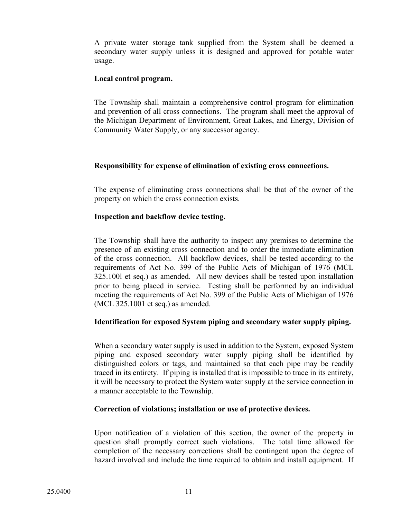A private water storage tank supplied from the System shall be deemed a secondary water supply unless it is designed and approved for potable water usage.

### **Local control program.**

The Township shall maintain a comprehensive control program for elimination and prevention of all cross connections. The program shall meet the approval of the Michigan Department of Environment, Great Lakes, and Energy, Division of Community Water Supply, or any successor agency.

## **Responsibility for expense of elimination of existing cross connections.**

The expense of eliminating cross connections shall be that of the owner of the property on which the cross connection exists.

## **Inspection and backflow device testing.**

The Township shall have the authority to inspect any premises to determine the presence of an existing cross connection and to order the immediate elimination of the cross connection. All backflow devices, shall be tested according to the requirements of Act No. 399 of the Public Acts of Michigan of 1976 (MCL 325.100l et seq.) as amended. All new devices shall be tested upon installation prior to being placed in service. Testing shall be performed by an individual meeting the requirements of Act No. 399 of the Public Acts of Michigan of 1976 (MCL 325.1001 et seq.) as amended.

## **Identification for exposed System piping and secondary water supply piping.**

When a secondary water supply is used in addition to the System, exposed System piping and exposed secondary water supply piping shall be identified by distinguished colors or tags, and maintained so that each pipe may be readily traced in its entirety. If piping is installed that is impossible to trace in its entirety, it will be necessary to protect the System water supply at the service connection in a manner acceptable to the Township.

## **Correction of violations; installation or use of protective devices.**

Upon notification of a violation of this section, the owner of the property in question shall promptly correct such violations. The total time allowed for completion of the necessary corrections shall be contingent upon the degree of hazard involved and include the time required to obtain and install equipment. If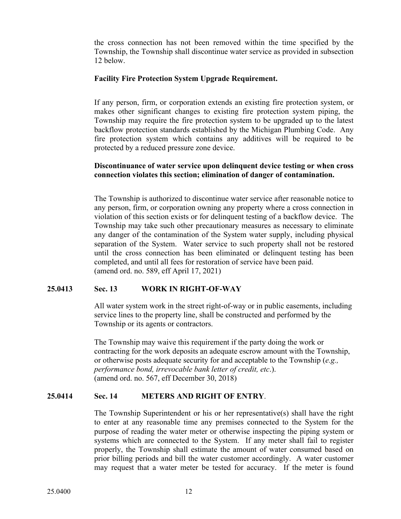the cross connection has not been removed within the time specified by the Township, the Township shall discontinue water service as provided in subsection 12 below.

### **Facility Fire Protection System Upgrade Requirement.**

If any person, firm, or corporation extends an existing fire protection system, or makes other significant changes to existing fire protection system piping, the Township may require the fire protection system to be upgraded up to the latest backflow protection standards established by the Michigan Plumbing Code. Any fire protection system which contains any additives will be required to be protected by a reduced pressure zone device.

### **Discontinuance of water service upon delinquent device testing or when cross connection violates this section; elimination of danger of contamination.**

The Township is authorized to discontinue water service after reasonable notice to any person, firm, or corporation owning any property where a cross connection in violation of this section exists or for delinquent testing of a backflow device. The Township may take such other precautionary measures as necessary to eliminate any danger of the contamination of the System water supply, including physical separation of the System. Water service to such property shall not be restored until the cross connection has been eliminated or delinquent testing has been completed, and until all fees for restoration of service have been paid. (amend ord. no. 589, eff April 17, 2021)

### **25.0413 Sec. 13 WORK IN RIGHT-OF-WAY**

All water system work in the street right-of-way or in public easements, including service lines to the property line, shall be constructed and performed by the Township or its agents or contractors.

The Township may waive this requirement if the party doing the work or contracting for the work deposits an adequate escrow amount with the Township, or otherwise posts adequate security for and acceptable to the Township (*e.g., performance bond, irrevocable bank letter of credit, etc*.). (amend ord. no. 567, eff December 30, 2018)

### **25.0414 Sec. 14 METERS AND RIGHT OF ENTRY**.

The Township Superintendent or his or her representative(s) shall have the right to enter at any reasonable time any premises connected to the System for the purpose of reading the water meter or otherwise inspecting the piping system or systems which are connected to the System. If any meter shall fail to register properly, the Township shall estimate the amount of water consumed based on prior billing periods and bill the water customer accordingly. A water customer may request that a water meter be tested for accuracy. If the meter is found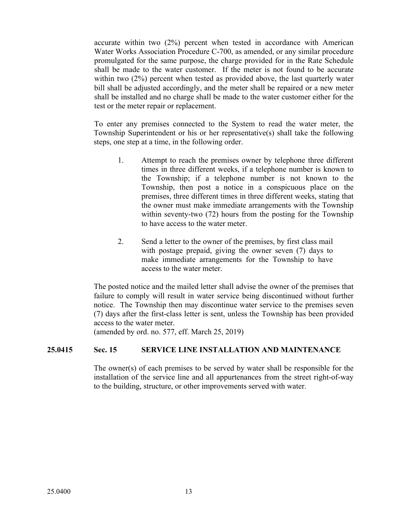accurate within two (2%) percent when tested in accordance with American Water Works Association Procedure C-700, as amended, or any similar procedure promulgated for the same purpose, the charge provided for in the Rate Schedule shall be made to the water customer. If the meter is not found to be accurate within two (2%) percent when tested as provided above, the last quarterly water bill shall be adjusted accordingly, and the meter shall be repaired or a new meter shall be installed and no charge shall be made to the water customer either for the test or the meter repair or replacement.

To enter any premises connected to the System to read the water meter, the Township Superintendent or his or her representative(s) shall take the following steps, one step at a time, in the following order.

- 1. Attempt to reach the premises owner by telephone three different times in three different weeks, if a telephone number is known to the Township; if a telephone number is not known to the Township, then post a notice in a conspicuous place on the premises, three different times in three different weeks, stating that the owner must make immediate arrangements with the Township within seventy-two (72) hours from the posting for the Township to have access to the water meter.
- 2. Send a letter to the owner of the premises, by first class mail with postage prepaid, giving the owner seven (7) days to make immediate arrangements for the Township to have access to the water meter.

The posted notice and the mailed letter shall advise the owner of the premises that failure to comply will result in water service being discontinued without further notice. The Township then may discontinue water service to the premises seven (7) days after the first-class letter is sent, unless the Township has been provided access to the water meter.

(amended by ord. no. 577, eff. March 25, 2019)

## **25.0415 Sec. 15 SERVICE LINE INSTALLATION AND MAINTENANCE**

The owner(s) of each premises to be served by water shall be responsible for the installation of the service line and all appurtenances from the street right-of-way to the building, structure, or other improvements served with water.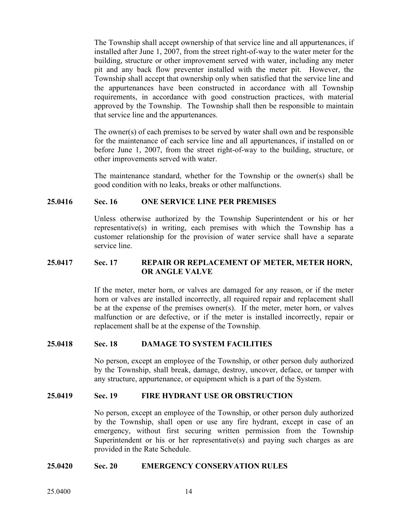The Township shall accept ownership of that service line and all appurtenances, if installed after June 1, 2007, from the street right-of-way to the water meter for the building, structure or other improvement served with water, including any meter pit and any back flow preventer installed with the meter pit. However, the Township shall accept that ownership only when satisfied that the service line and the appurtenances have been constructed in accordance with all Township requirements, in accordance with good construction practices, with material approved by the Township. The Township shall then be responsible to maintain that service line and the appurtenances.

The owner(s) of each premises to be served by water shall own and be responsible for the maintenance of each service line and all appurtenances, if installed on or before June 1, 2007, from the street right-of-way to the building, structure, or other improvements served with water.

The maintenance standard, whether for the Township or the owner(s) shall be good condition with no leaks, breaks or other malfunctions.

### **25.0416 Sec. 16 ONE SERVICE LINE PER PREMISES**

Unless otherwise authorized by the Township Superintendent or his or her representative(s) in writing, each premises with which the Township has a customer relationship for the provision of water service shall have a separate service line.

### **25.0417 Sec. 17 REPAIR OR REPLACEMENT OF METER, METER HORN, OR ANGLE VALVE**

If the meter, meter horn, or valves are damaged for any reason, or if the meter horn or valves are installed incorrectly, all required repair and replacement shall be at the expense of the premises owner(s). If the meter, meter horn, or valves malfunction or are defective, or if the meter is installed incorrectly, repair or replacement shall be at the expense of the Township.

## **25.0418 Sec. 18 DAMAGE TO SYSTEM FACILITIES**

No person, except an employee of the Township, or other person duly authorized by the Township, shall break, damage, destroy, uncover, deface, or tamper with any structure, appurtenance, or equipment which is a part of the System.

#### **25.0419 Sec. 19 FIRE HYDRANT USE OR OBSTRUCTION**

No person, except an employee of the Township, or other person duly authorized by the Township, shall open or use any fire hydrant, except in case of an emergency, without first securing written permission from the Township Superintendent or his or her representative(s) and paying such charges as are provided in the Rate Schedule.

#### **25.0420 Sec. 20 EMERGENCY CONSERVATION RULES**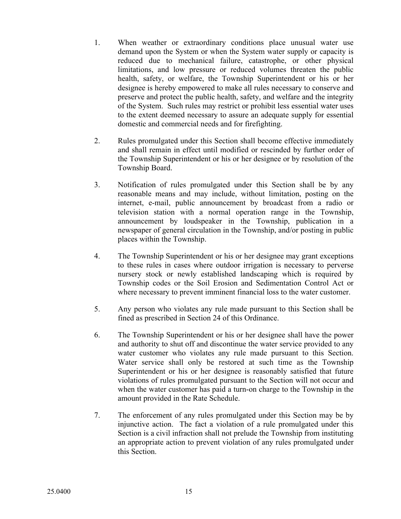- 1. When weather or extraordinary conditions place unusual water use demand upon the System or when the System water supply or capacity is reduced due to mechanical failure, catastrophe, or other physical limitations, and low pressure or reduced volumes threaten the public health, safety, or welfare, the Township Superintendent or his or her designee is hereby empowered to make all rules necessary to conserve and preserve and protect the public health, safety, and welfare and the integrity of the System. Such rules may restrict or prohibit less essential water uses to the extent deemed necessary to assure an adequate supply for essential domestic and commercial needs and for firefighting.
- 2. Rules promulgated under this Section shall become effective immediately and shall remain in effect until modified or rescinded by further order of the Township Superintendent or his or her designee or by resolution of the Township Board.
- 3. Notification of rules promulgated under this Section shall be by any reasonable means and may include, without limitation, posting on the internet, e-mail, public announcement by broadcast from a radio or television station with a normal operation range in the Township, announcement by loudspeaker in the Township, publication in a newspaper of general circulation in the Township, and/or posting in public places within the Township.
- 4. The Township Superintendent or his or her designee may grant exceptions to these rules in cases where outdoor irrigation is necessary to perverse nursery stock or newly established landscaping which is required by Township codes or the Soil Erosion and Sedimentation Control Act or where necessary to prevent imminent financial loss to the water customer.
- 5. Any person who violates any rule made pursuant to this Section shall be fined as prescribed in Section 24 of this Ordinance.
- 6. The Township Superintendent or his or her designee shall have the power and authority to shut off and discontinue the water service provided to any water customer who violates any rule made pursuant to this Section. Water service shall only be restored at such time as the Township Superintendent or his or her designee is reasonably satisfied that future violations of rules promulgated pursuant to the Section will not occur and when the water customer has paid a turn-on charge to the Township in the amount provided in the Rate Schedule.
- 7. The enforcement of any rules promulgated under this Section may be by injunctive action. The fact a violation of a rule promulgated under this Section is a civil infraction shall not prelude the Township from instituting an appropriate action to prevent violation of any rules promulgated under this Section.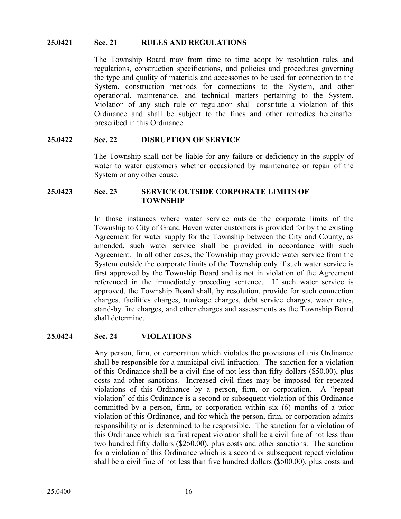#### **25.0421 Sec. 21 RULES AND REGULATIONS**

The Township Board may from time to time adopt by resolution rules and regulations, construction specifications, and policies and procedures governing the type and quality of materials and accessories to be used for connection to the System, construction methods for connections to the System, and other operational, maintenance, and technical matters pertaining to the System. Violation of any such rule or regulation shall constitute a violation of this Ordinance and shall be subject to the fines and other remedies hereinafter prescribed in this Ordinance.

#### **25.0422 Sec. 22 DISRUPTION OF SERVICE**

The Township shall not be liable for any failure or deficiency in the supply of water to water customers whether occasioned by maintenance or repair of the System or any other cause.

#### **25.0423 Sec. 23 SERVICE OUTSIDE CORPORATE LIMITS OF TOWNSHIP**

In those instances where water service outside the corporate limits of the Township to City of Grand Haven water customers is provided for by the existing Agreement for water supply for the Township between the City and County, as amended, such water service shall be provided in accordance with such Agreement. In all other cases, the Township may provide water service from the System outside the corporate limits of the Township only if such water service is first approved by the Township Board and is not in violation of the Agreement referenced in the immediately preceding sentence. If such water service is approved, the Township Board shall, by resolution, provide for such connection charges, facilities charges, trunkage charges, debt service charges, water rates, stand-by fire charges, and other charges and assessments as the Township Board shall determine.

#### **25.0424 Sec. 24 VIOLATIONS**

Any person, firm, or corporation which violates the provisions of this Ordinance shall be responsible for a municipal civil infraction. The sanction for a violation of this Ordinance shall be a civil fine of not less than fifty dollars (\$50.00), plus costs and other sanctions. Increased civil fines may be imposed for repeated violations of this Ordinance by a person, firm, or corporation. A "repeat violation" of this Ordinance is a second or subsequent violation of this Ordinance committed by a person, firm, or corporation within six (6) months of a prior violation of this Ordinance, and for which the person, firm, or corporation admits responsibility or is determined to be responsible. The sanction for a violation of this Ordinance which is a first repeat violation shall be a civil fine of not less than two hundred fifty dollars (\$250.00), plus costs and other sanctions. The sanction for a violation of this Ordinance which is a second or subsequent repeat violation shall be a civil fine of not less than five hundred dollars (\$500.00), plus costs and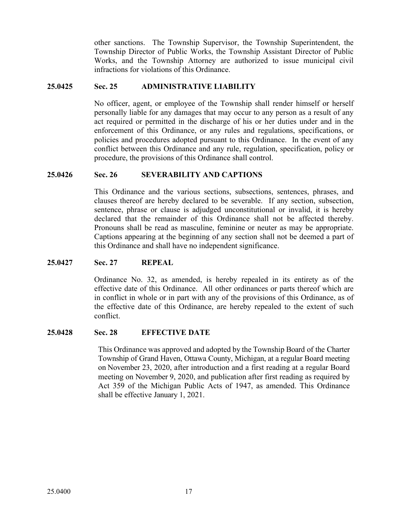other sanctions. The Township Supervisor, the Township Superintendent, the Township Director of Public Works, the Township Assistant Director of Public Works, and the Township Attorney are authorized to issue municipal civil infractions for violations of this Ordinance.

#### **25.0425 Sec. 25 ADMINISTRATIVE LIABILITY**

No officer, agent, or employee of the Township shall render himself or herself personally liable for any damages that may occur to any person as a result of any act required or permitted in the discharge of his or her duties under and in the enforcement of this Ordinance, or any rules and regulations, specifications, or policies and procedures adopted pursuant to this Ordinance. In the event of any conflict between this Ordinance and any rule, regulation, specification, policy or procedure, the provisions of this Ordinance shall control.

#### **25.0426 Sec. 26 SEVERABILITY AND CAPTIONS**

This Ordinance and the various sections, subsections, sentences, phrases, and clauses thereof are hereby declared to be severable. If any section, subsection, sentence, phrase or clause is adjudged unconstitutional or invalid, it is hereby declared that the remainder of this Ordinance shall not be affected thereby. Pronouns shall be read as masculine, feminine or neuter as may be appropriate. Captions appearing at the beginning of any section shall not be deemed a part of this Ordinance and shall have no independent significance.

#### **25.0427 Sec. 27 REPEAL**

Ordinance No. 32, as amended, is hereby repealed in its entirety as of the effective date of this Ordinance. All other ordinances or parts thereof which are in conflict in whole or in part with any of the provisions of this Ordinance, as of the effective date of this Ordinance, are hereby repealed to the extent of such conflict.

#### **25.0428 Sec. 28 EFFECTIVE DATE**

This Ordinance was approved and adopted by the Township Board of the Charter Township of Grand Haven, Ottawa County, Michigan, at a regular Board meeting on November 23, 2020, after introduction and a first reading at a regular Board meeting on November 9, 2020, and publication after first reading as required by Act 359 of the Michigan Public Acts of 1947, as amended. This Ordinance shall be effective January 1, 2021.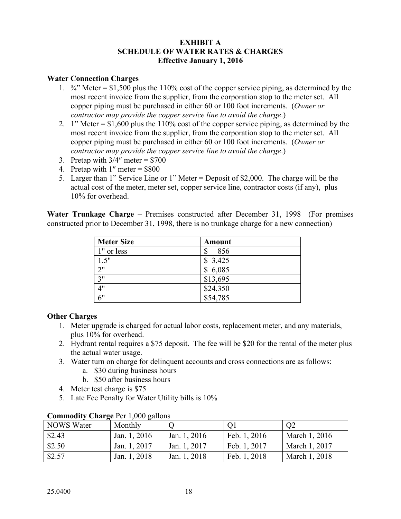## **EXHIBIT A SCHEDULE OF WATER RATES & CHARGES Effective January 1, 2016**

### **Water Connection Charges**

- 1.  $\frac{3}{4}$  Meter = \$1,500 plus the 110% cost of the copper service piping, as determined by the most recent invoice from the supplier, from the corporation stop to the meter set. All copper piping must be purchased in either 60 or 100 foot increments. (*Owner or contractor may provide the copper service line to avoid the charge*.)
- 2. 1" Meter =  $$1,600$  plus the 110% cost of the copper service piping, as determined by the most recent invoice from the supplier, from the corporation stop to the meter set. All copper piping must be purchased in either 60 or 100 foot increments. (*Owner or contractor may provide the copper service line to avoid the charge*.)
- 3. Pretap with  $3/4$ " meter = \$700
- 4. Pretap with  $1''$  meter = \$800
- 5. Larger than 1" Service Line or 1" Meter = Deposit of \$2,000. The charge will be the actual cost of the meter, meter set, copper service line, contractor costs (if any), plus 10% for overhead.

**Water Trunkage Charge** – Premises constructed after December 31, 1998 (For premises constructed prior to December 31, 1998, there is no trunkage charge for a new connection)

| <b>Meter Size</b> | <b>Amount</b>        |
|-------------------|----------------------|
| 1" or less        | 856<br>\$            |
| 1.5"              | \$3,425              |
| 2"                | \$6,085              |
| 3"                | \$13,695             |
| 4"                | $\overline{$}24,350$ |
| 6"                | \$54,785             |

## **Other Charges**

- 1. Meter upgrade is charged for actual labor costs, replacement meter, and any materials, plus 10% for overhead.
- 2. Hydrant rental requires a \$75 deposit. The fee will be \$20 for the rental of the meter plus the actual water usage.
- 3. Water turn on charge for delinquent accounts and cross connections are as follows:
	- a. \$30 during business hours
	- b. \$50 after business hours
- 4. Meter test charge is \$75
- 5. Late Fee Penalty for Water Utility bills is 10%

| <b>NOWS</b> Water | Monthly      |              |              | O <sub>2</sub> |  |  |  |
|-------------------|--------------|--------------|--------------|----------------|--|--|--|
| \$2.43            | Jan. 1, 2016 | Jan. 1, 2016 | Feb. 1, 2016 | March 1, 2016  |  |  |  |
| \$2.50            | Jan. 1, 2017 | Jan. 1, 2017 | Feb. 1, 2017 | March 1, 2017  |  |  |  |
| \$2.57            | Jan. 1, 2018 | Jan. 1, 2018 | Feb. 1, 2018 | March 1, 2018  |  |  |  |

### **Commodity Charge** Per 1,000 gallons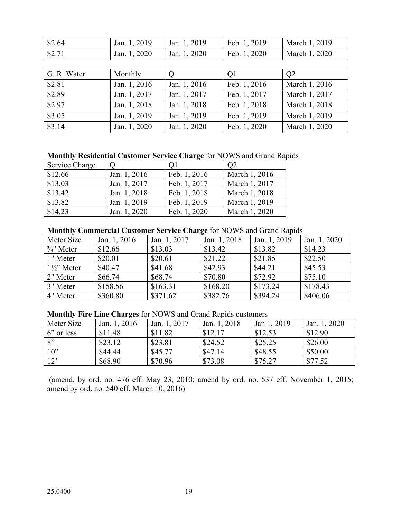| \$2.64 | Jan. 1, 2019 | Jan. 1, 2019 | Feb. 1, 2019 | March 1, 2019 |
|--------|--------------|--------------|--------------|---------------|
| \$2.71 | Jan. 1, 2020 | Jan. 1, 2020 | Feb. 1, 2020 | March 1, 2020 |

| G. R. Water | Monthly      |              | Q1           | Q <sub>2</sub> |
|-------------|--------------|--------------|--------------|----------------|
| \$2.81      | Jan. 1, 2016 | Jan. 1, 2016 | Feb. 1, 2016 | March 1, 2016  |
| \$2.89      | Jan. 1, 2017 | Jan. 1, 2017 | Feb. 1, 2017 | March 1, 2017  |
| \$2.97      | Jan. 1, 2018 | Jan. 1, 2018 | Feb. 1, 2018 | March 1, 2018  |
| \$3.05      | Jan. 1, 2019 | Jan. 1, 2019 | Feb. 1, 2019 | March 1, 2019  |
| \$3.14      | Jan. 1, 2020 | Jan. 1, 2020 | Feb. 1, 2020 | March 1, 2020  |

## **Monthly Residential Customer Service Charge** for NOWS and Grand Rapids

| Service Charge |              | O <sub>1</sub> | O <sub>2</sub> |
|----------------|--------------|----------------|----------------|
| \$12.66        | Jan. 1, 2016 | Feb. 1, 2016   | March 1, 2016  |
| \$13.03        | Jan. 1, 2017 | Feb. 1, 2017   | March 1, 2017  |
| \$13.42        | Jan. 1, 2018 | Feb. 1, 2018   | March 1, 2018  |
| \$13.82        | Jan. 1, 2019 | Feb. 1, 2019   | March 1, 2019  |
| \$14.23        | Jan. 1, 2020 | Feb. 1, 2020   | March 1, 2020  |

#### **Monthly Commercial Customer Service Charge** for NOWS and Grand Rapids

| Meter Size             | Jan. 1, 2016 | Jan. 1, 2017 | Jan. 1, 2018 | Jan. 1, 2019 | Jan. 1, 2020 |
|------------------------|--------------|--------------|--------------|--------------|--------------|
| $\frac{3}{4}$ " Meter  | \$12.66      | \$13.03      | \$13.42      | \$13.82      | \$14.23      |
| 1" Meter               | \$20.01      | \$20.61      | \$21.22      | \$21.85      | \$22.50      |
| $1\frac{1}{2}$ " Meter | \$40.47      | \$41.68      | \$42.93      | \$44.21      | \$45.53      |
| 2" Meter               | \$66.74      | \$68.74      | \$70.80      | \$72.92      | \$75.10      |
| 3" Meter               | \$158.56     | \$163.31     | \$168.20     | \$173.24     | \$178.43     |
| 4" Meter               | \$360.80     | \$371.62     | \$382.76     | \$394.24     | \$406.06     |

#### **Monthly Fire Line Charges** for NOWS and Grand Rapids customers

| Meter Size       | Jan. 1, 2016 | Jan. 1, 2017 | Jan. 1, 2018 | Jan 1, 2019 | Jan. 1, 2020 |
|------------------|--------------|--------------|--------------|-------------|--------------|
| 6" or less       | \$11.48      | \$11.82      | \$12.17      | \$12.53     | \$12.90      |
| $\mathbf{R}^{,}$ | \$23.12      | \$23.81      | \$24.52      | \$25.25     | \$26.00      |
| $10$ "           | \$44.44      | \$45.77      | \$47.14      | \$48.55     | \$50.00      |
| 12'              | \$68.90      | \$70.96      | \$73.08      | \$75.27     | \$77.52      |

(amend. by ord. no. 476 eff. May 23, 2010; amend by ord. no. 537 eff. November 1, 2015; amend by ord. no. 540 eff. March 10, 2016)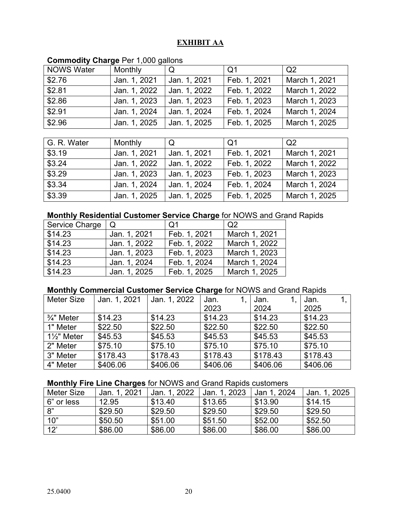# **EXHIBIT AA**

| <b>NOWS Water</b> | Monthly      | Q            | Q <sub>1</sub> | Q2            |
|-------------------|--------------|--------------|----------------|---------------|
| \$2.76            | Jan. 1, 2021 | Jan. 1, 2021 | Feb. 1, 2021   | March 1, 2021 |
| \$2.81            | Jan. 1, 2022 | Jan. 1, 2022 | Feb. 1, 2022   | March 1, 2022 |
| \$2.86            | Jan. 1, 2023 | Jan. 1, 2023 | Feb. 1, 2023   | March 1, 2023 |
| \$2.91            | Jan. 1, 2024 | Jan. 1, 2024 | Feb. 1, 2024   | March 1, 2024 |
| \$2.96            | Jan. 1, 2025 | Jan. 1, 2025 | Feb. 1, 2025   | March 1, 2025 |

# **Commodity Charge** Per 1,000 gallons

| G. R. Water    | Monthly      | Q            | Q1           | $\Omega$      |
|----------------|--------------|--------------|--------------|---------------|
| \$3.19         | Jan. 1, 2021 | Jan. 1, 2021 | Feb. 1, 2021 | March 1, 2021 |
| $\sqrt{$3.24}$ | Jan. 1, 2022 | Jan. 1, 2022 | Feb. 1, 2022 | March 1, 2022 |
| \$3.29         | Jan. 1, 2023 | Jan. 1, 2023 | Feb. 1, 2023 | March 1, 2023 |
| \$3.34         | Jan. 1, 2024 | Jan. 1, 2024 | Feb. 1, 2024 | March 1, 2024 |
| \$3.39         | Jan. 1, 2025 | Jan. 1, 2025 | Feb. 1, 2025 | March 1, 2025 |

## **Monthly Residential Customer Service Charge** for NOWS and Grand Rapids

| Service Charge | Q            | Q <sub>1</sub> | $\overline{Q}$ |
|----------------|--------------|----------------|----------------|
| \$14.23        | Jan. 1, 2021 | Feb. 1, 2021   | March 1, 2021  |
| \$14.23        | Jan. 1, 2022 | Feb. 1, 2022   | March 1, 2022  |
| \$14.23        | Jan. 1, 2023 | Feb. 1, 2023   | March 1, 2023  |
| \$14.23        | Jan. 1, 2024 | Feb. 1, 2024   | March 1, 2024  |
| \$14.23        | Jan. 1, 2025 | Feb. 1, 2025   | March 1, 2025  |

## **Monthly Commercial Customer Service Charge** for NOWS and Grand Rapids

| <b>Meter Size</b>      | Jan. 1, 2021 | Jan. 1, 2022 | Jan.     | Jan.     | Jan.     |
|------------------------|--------------|--------------|----------|----------|----------|
|                        |              |              | 2023     | 2024     | 2025     |
| $\frac{3}{4}$ " Meter  | \$14.23      | \$14.23      | \$14.23  | \$14.23  | \$14.23  |
| 1" Meter               | \$22.50      | \$22.50      | \$22.50  | \$22.50  | \$22.50  |
| $1\frac{1}{2}$ " Meter | \$45.53      | \$45.53      | \$45.53  | \$45.53  | \$45.53  |
| 2" Meter               | \$75.10      | \$75.10      | \$75.10  | \$75.10  | \$75.10  |
| 3" Meter               | \$178.43     | \$178.43     | \$178.43 | \$178.43 | \$178.43 |
| 4" Meter               | \$406.06     | \$406.06     | \$406.06 | \$406.06 | \$406.06 |

## **Monthly Fire Line Charges** for NOWS and Grand Rapids customers

| Meter Size | Jan. 1, 2021 | Jan. 1, 2022 | Jan. 1, 2023 | Jan 1, 2024 | Jan. 1, 2025 |
|------------|--------------|--------------|--------------|-------------|--------------|
| 6" or less | 12.95        | \$13.40      | \$13.65      | \$13.90     | \$14.15      |
| 8"         | \$29.50      | \$29.50      | \$29.50      | \$29.50     | \$29.50      |
| 10"        | \$50.50      | \$51.00      | \$51.50      | \$52.00     | \$52.50      |
| 12'        | \$86.00      | \$86.00      | \$86.00      | \$86.00     | \$86.00      |